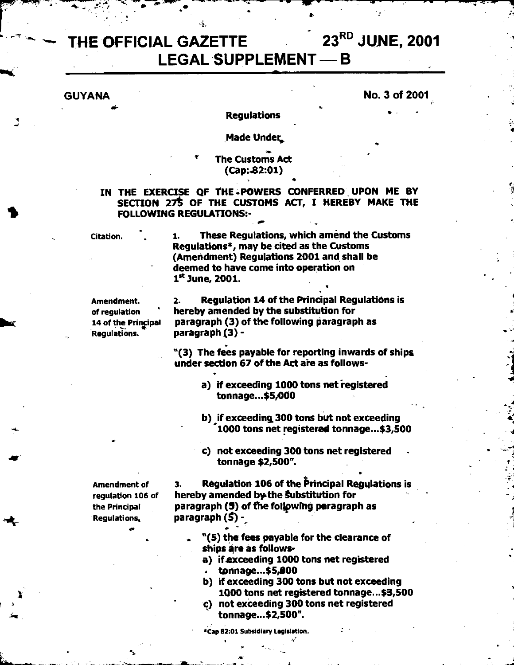# THE OFFICIAL GAZETTE 23<sup>RD</sup> JUNE, 2001 **LEGAL SUPPLEMENT — B**

## **GUYANA** No. 3 of 2001

**4** 

#### **Regulations** •

### **Made Under,**

# **The Customs Act (Cap:.82:01) •**

**IN THE EXERCISE OF tHE -POWERS CONFERRED UPON ME BY SECTION 27t OF THE CUSTOMS ACT, I HEREBY MAKE THE FOLLOWING REGULATIONS:-** 

**Citation.** 

**1. These Regulations, which amend the Customs Regulations\*, may be cited as the Customs (Amendment) Regulations 2001 and**, **shall be deemed to have come into operation on 1st June, 2001.** 

**Amendment. of regulation** *hic* **14 of the Prinacipal Regulations.** 

**2. Regulation 14 of the Principal Regulations is hereby amended by the substitution for paragraph (3) of the following paragraph as paragraph (3) -** 

**"(3) The fees payable for reporting inwards of ships under section 67 of the Act are as follows-**

- a) if exceeding 1000 tons net registered **tonnage...\$5,000**
- **b)** if exceeding 300 tons but not exceeding **1000 tons net registered tonnage...\$3,500**
- **c) not exceeding 300 tons net registered tonnage \$2,500".**

**Amendment of regulation 106 of the Principal Regulations,** 

**3. Regulation 106 of the principal Regulations is**  hereby amended by the **Substitution for paragraph (5) of the follewlhg paragraph as paragraph** *(S)*-

- **"(5) the fees payable for the clearance of ships are as follows-**
- **a) if exceeding 1000 tons net registered tonnage...\$5,100**
- **b) if exceeding 300 tons but not exceeding 1000 tons net registered tonnage...\$3,500**
- **c) not exceeding 300 tons net registered**  iss **tonnage-42,500".**

**\*Cap 82:01 Subsidiary Legislation.**